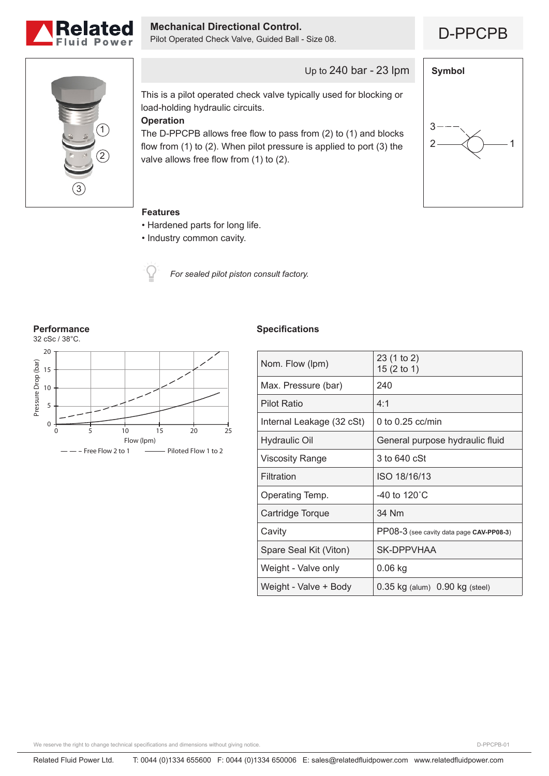

**Mechanical Directional Control.**<br>Pilot Operated Check Valve, Guided Ball - Size 08. <br>**D-PPCPB** 





Up to 240 bar - 23 lpm

This is a pilot operated check valve typically used for blocking or load-holding hydraulic circuits.

# **Operation**

The D-PPCPB allows free flow to pass from (2) to (1) and blocks flow from (1) to (2). When pilot pressure is applied to port (3) the valve allows free flow from (1) to (2).



### **Features**

- Hardened parts for long life.
- Industry common cavity.



*For sealed pilot piston consult factory.*

**Performance**



## **Specifications**

| Nom. Flow (lpm)           | 23 (1 to 2)<br>15 (2 to 1)               |
|---------------------------|------------------------------------------|
| Max. Pressure (bar)       | 240                                      |
| <b>Pilot Ratio</b>        | 4:1                                      |
| Internal Leakage (32 cSt) | 0 to $0.25$ cc/min                       |
| <b>Hydraulic Oil</b>      | General purpose hydraulic fluid          |
| Viscosity Range           | 3 to 640 cSt                             |
| Filtration                | ISO 18/16/13                             |
| Operating Temp.           | -40 to 120 $^{\circ}$ C                  |
| Cartridge Torque          | 34 Nm                                    |
| Cavity                    | PP08-3 (see cavity data page CAV-PP08-3) |
| Spare Seal Kit (Viton)    | <b>SK-DPPVHAA</b>                        |
| Weight - Valve only       | $0.06$ kg                                |
| Weight - Valve + Body     | 0.35 kg (alum) 0.90 kg (steel)           |